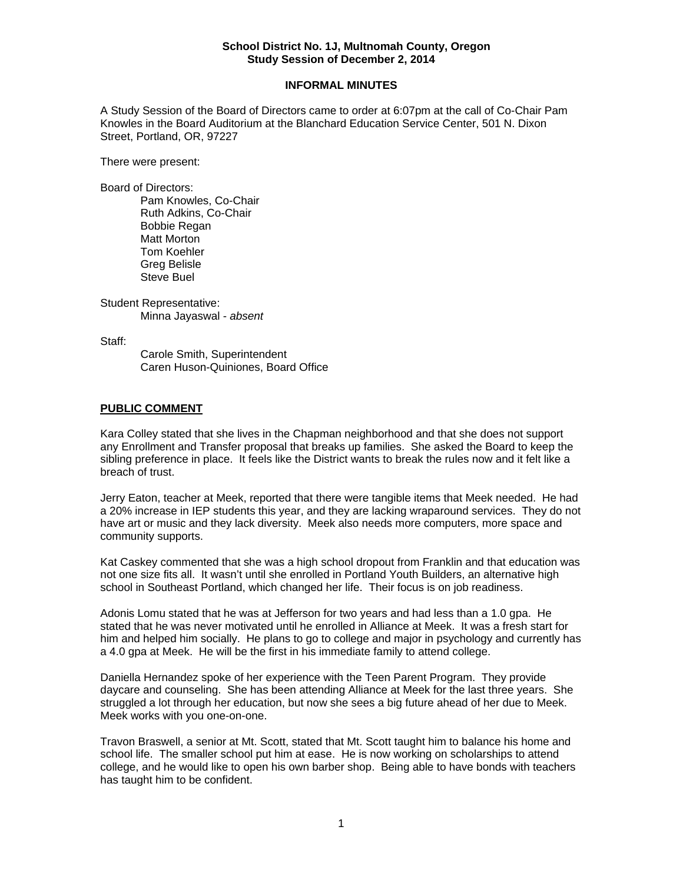## **School District No. 1J, Multnomah County, Oregon Study Session of December 2, 2014**

#### **INFORMAL MINUTES**

A Study Session of the Board of Directors came to order at 6:07pm at the call of Co-Chair Pam Knowles in the Board Auditorium at the Blanchard Education Service Center, 501 N. Dixon Street, Portland, OR, 97227

There were present:

Board of Directors:

Pam Knowles, Co-Chair Ruth Adkins, Co-Chair Bobbie Regan Matt Morton Tom Koehler Greg Belisle Steve Buel

Student Representative: Minna Jayaswal - *absent* 

Staff:

 Carole Smith, Superintendent Caren Huson-Quiniones, Board Office

### **PUBLIC COMMENT**

Kara Colley stated that she lives in the Chapman neighborhood and that she does not support any Enrollment and Transfer proposal that breaks up families. She asked the Board to keep the sibling preference in place. It feels like the District wants to break the rules now and it felt like a breach of trust.

Jerry Eaton, teacher at Meek, reported that there were tangible items that Meek needed. He had a 20% increase in IEP students this year, and they are lacking wraparound services. They do not have art or music and they lack diversity. Meek also needs more computers, more space and community supports.

Kat Caskey commented that she was a high school dropout from Franklin and that education was not one size fits all. It wasn't until she enrolled in Portland Youth Builders, an alternative high school in Southeast Portland, which changed her life. Their focus is on job readiness.

Adonis Lomu stated that he was at Jefferson for two years and had less than a 1.0 gpa. He stated that he was never motivated until he enrolled in Alliance at Meek. It was a fresh start for him and helped him socially. He plans to go to college and major in psychology and currently has a 4.0 gpa at Meek. He will be the first in his immediate family to attend college.

Daniella Hernandez spoke of her experience with the Teen Parent Program. They provide daycare and counseling. She has been attending Alliance at Meek for the last three years. She struggled a lot through her education, but now she sees a big future ahead of her due to Meek. Meek works with you one-on-one.

Travon Braswell, a senior at Mt. Scott, stated that Mt. Scott taught him to balance his home and school life. The smaller school put him at ease. He is now working on scholarships to attend college, and he would like to open his own barber shop. Being able to have bonds with teachers has taught him to be confident.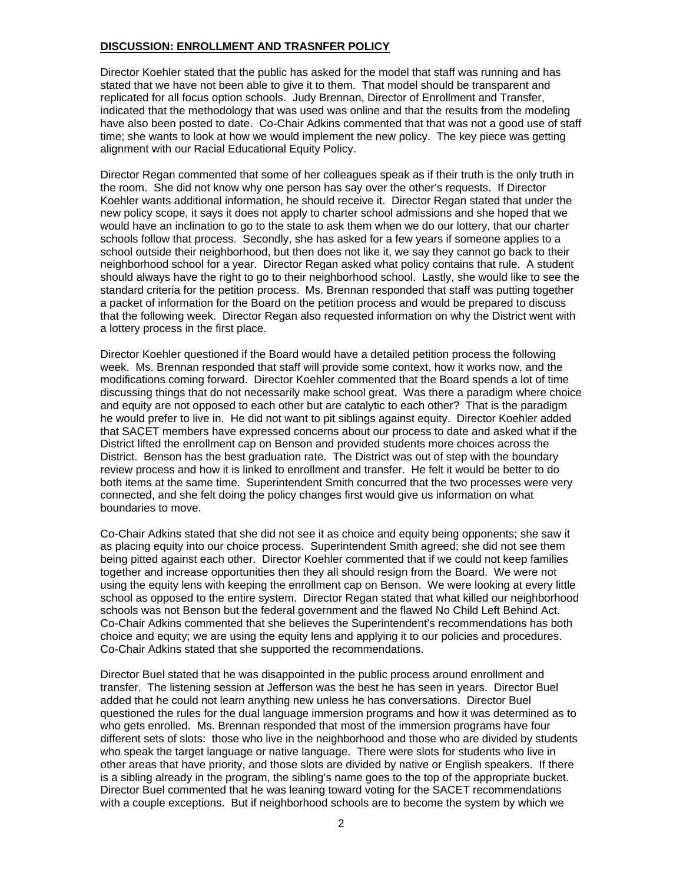## **DISCUSSION: ENROLLMENT AND TRASNFER POLICY**

Director Koehler stated that the public has asked for the model that staff was running and has stated that we have not been able to give it to them. That model should be transparent and replicated for all focus option schools. Judy Brennan, Director of Enrollment and Transfer, indicated that the methodology that was used was online and that the results from the modeling have also been posted to date. Co-Chair Adkins commented that that was not a good use of staff time; she wants to look at how we would implement the new policy. The key piece was getting alignment with our Racial Educational Equity Policy.

Director Regan commented that some of her colleagues speak as if their truth is the only truth in the room. She did not know why one person has say over the other's requests. If Director Koehler wants additional information, he should receive it. Director Regan stated that under the new policy scope, it says it does not apply to charter school admissions and she hoped that we would have an inclination to go to the state to ask them when we do our lottery, that our charter schools follow that process. Secondly, she has asked for a few years if someone applies to a school outside their neighborhood, but then does not like it, we say they cannot go back to their neighborhood school for a year. Director Regan asked what policy contains that rule. A student should always have the right to go to their neighborhood school. Lastly, she would like to see the standard criteria for the petition process. Ms. Brennan responded that staff was putting together a packet of information for the Board on the petition process and would be prepared to discuss that the following week. Director Regan also requested information on why the District went with a lottery process in the first place.

Director Koehler questioned if the Board would have a detailed petition process the following week. Ms. Brennan responded that staff will provide some context, how it works now, and the modifications coming forward. Director Koehler commented that the Board spends a lot of time discussing things that do not necessarily make school great. Was there a paradigm where choice and equity are not opposed to each other but are catalytic to each other? That is the paradigm he would prefer to live in. He did not want to pit siblings against equity. Director Koehler added that SACET members have expressed concerns about our process to date and asked what if the District lifted the enrollment cap on Benson and provided students more choices across the District. Benson has the best graduation rate. The District was out of step with the boundary review process and how it is linked to enrollment and transfer. He felt it would be better to do both items at the same time. Superintendent Smith concurred that the two processes were very connected, and she felt doing the policy changes first would give us information on what boundaries to move.

Co-Chair Adkins stated that she did not see it as choice and equity being opponents; she saw it as placing equity into our choice process. Superintendent Smith agreed; she did not see them being pitted against each other. Director Koehler commented that if we could not keep families together and increase opportunities then they all should resign from the Board. We were not using the equity lens with keeping the enrollment cap on Benson. We were looking at every little school as opposed to the entire system. Director Regan stated that what killed our neighborhood schools was not Benson but the federal government and the flawed No Child Left Behind Act. Co-Chair Adkins commented that she believes the Superintendent's recommendations has both choice and equity; we are using the equity lens and applying it to our policies and procedures. Co-Chair Adkins stated that she supported the recommendations.

Director Buel stated that he was disappointed in the public process around enrollment and transfer. The listening session at Jefferson was the best he has seen in years. Director Buel added that he could not learn anything new unless he has conversations. Director Buel questioned the rules for the dual language immersion programs and how it was determined as to who gets enrolled. Ms. Brennan responded that most of the immersion programs have four different sets of slots: those who live in the neighborhood and those who are divided by students who speak the target language or native language. There were slots for students who live in other areas that have priority, and those slots are divided by native or English speakers. If there is a sibling already in the program, the sibling's name goes to the top of the appropriate bucket. Director Buel commented that he was leaning toward voting for the SACET recommendations with a couple exceptions. But if neighborhood schools are to become the system by which we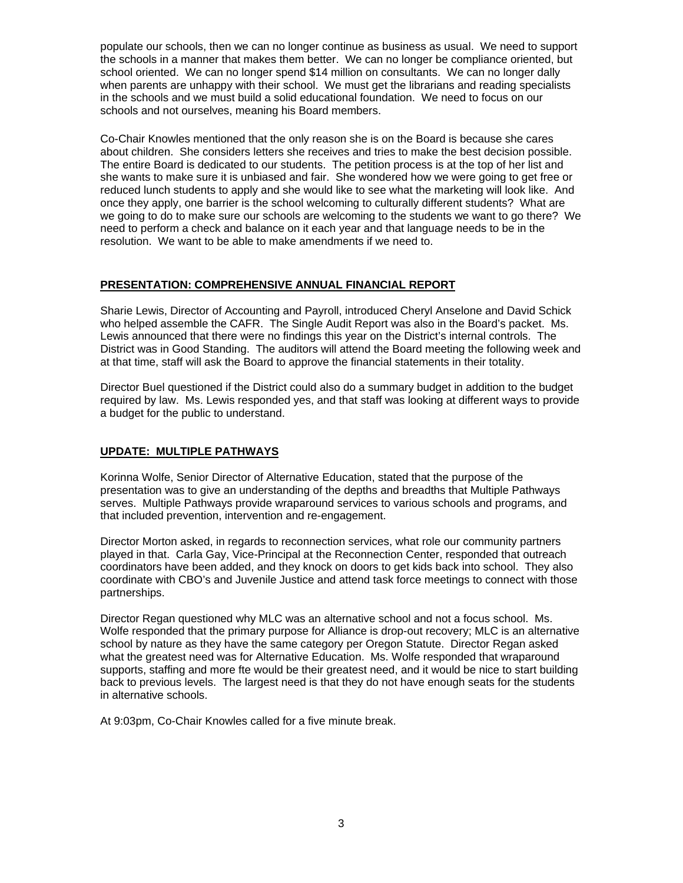populate our schools, then we can no longer continue as business as usual. We need to support the schools in a manner that makes them better. We can no longer be compliance oriented, but school oriented. We can no longer spend \$14 million on consultants. We can no longer dally when parents are unhappy with their school. We must get the librarians and reading specialists in the schools and we must build a solid educational foundation. We need to focus on our schools and not ourselves, meaning his Board members.

Co-Chair Knowles mentioned that the only reason she is on the Board is because she cares about children. She considers letters she receives and tries to make the best decision possible. The entire Board is dedicated to our students. The petition process is at the top of her list and she wants to make sure it is unbiased and fair. She wondered how we were going to get free or reduced lunch students to apply and she would like to see what the marketing will look like. And once they apply, one barrier is the school welcoming to culturally different students? What are we going to do to make sure our schools are welcoming to the students we want to go there? We need to perform a check and balance on it each year and that language needs to be in the resolution. We want to be able to make amendments if we need to.

# **PRESENTATION: COMPREHENSIVE ANNUAL FINANCIAL REPORT**

Sharie Lewis, Director of Accounting and Payroll, introduced Cheryl Anselone and David Schick who helped assemble the CAFR. The Single Audit Report was also in the Board's packet. Ms. Lewis announced that there were no findings this year on the District's internal controls. The District was in Good Standing. The auditors will attend the Board meeting the following week and at that time, staff will ask the Board to approve the financial statements in their totality.

Director Buel questioned if the District could also do a summary budget in addition to the budget required by law. Ms. Lewis responded yes, and that staff was looking at different ways to provide a budget for the public to understand.

### **UPDATE: MULTIPLE PATHWAYS**

Korinna Wolfe, Senior Director of Alternative Education, stated that the purpose of the presentation was to give an understanding of the depths and breadths that Multiple Pathways serves. Multiple Pathways provide wraparound services to various schools and programs, and that included prevention, intervention and re-engagement.

Director Morton asked, in regards to reconnection services, what role our community partners played in that. Carla Gay, Vice-Principal at the Reconnection Center, responded that outreach coordinators have been added, and they knock on doors to get kids back into school. They also coordinate with CBO's and Juvenile Justice and attend task force meetings to connect with those partnerships.

Director Regan questioned why MLC was an alternative school and not a focus school. Ms. Wolfe responded that the primary purpose for Alliance is drop-out recovery; MLC is an alternative school by nature as they have the same category per Oregon Statute. Director Regan asked what the greatest need was for Alternative Education. Ms. Wolfe responded that wraparound supports, staffing and more fte would be their greatest need, and it would be nice to start building back to previous levels. The largest need is that they do not have enough seats for the students in alternative schools.

At 9:03pm, Co-Chair Knowles called for a five minute break.